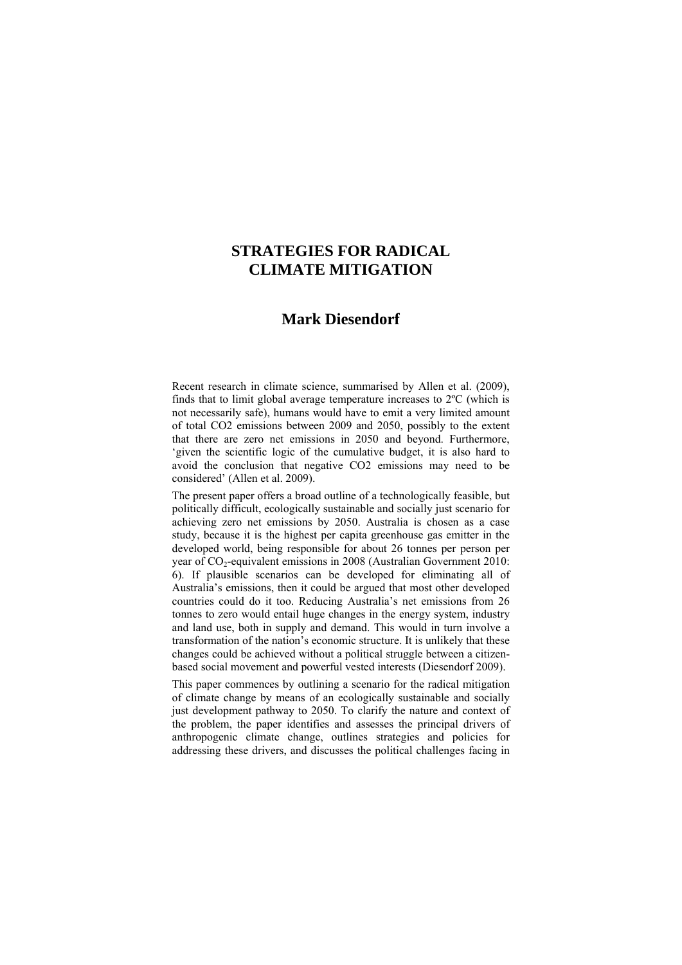## **STRATEGIES FOR RADICAL CLIMATE MITIGATION**

## **Mark Diesendorf**

Recent research in climate science, summarised by Allen et al. (2009), finds that to limit global average temperature increases to 2ºC (which is not necessarily safe), humans would have to emit a very limited amount of total CO2 emissions between 2009 and 2050, possibly to the extent that there are zero net emissions in 2050 and beyond. Furthermore, 'given the scientific logic of the cumulative budget, it is also hard to avoid the conclusion that negative CO2 emissions may need to be considered' (Allen et al. 2009).

The present paper offers a broad outline of a technologically feasible, but politically difficult, ecologically sustainable and socially just scenario for achieving zero net emissions by 2050. Australia is chosen as a case study, because it is the highest per capita greenhouse gas emitter in the developed world, being responsible for about 26 tonnes per person per year of  $CO_2$ -equivalent emissions in 2008 (Australian Government 2010: 6). If plausible scenarios can be developed for eliminating all of Australia's emissions, then it could be argued that most other developed countries could do it too. Reducing Australia's net emissions from 26 tonnes to zero would entail huge changes in the energy system, industry and land use, both in supply and demand. This would in turn involve a transformation of the nation's economic structure. It is unlikely that these changes could be achieved without a political struggle between a citizenbased social movement and powerful vested interests (Diesendorf 2009).

This paper commences by outlining a scenario for the radical mitigation of climate change by means of an ecologically sustainable and socially just development pathway to 2050. To clarify the nature and context of the problem, the paper identifies and assesses the principal drivers of anthropogenic climate change, outlines strategies and policies for addressing these drivers, and discusses the political challenges facing in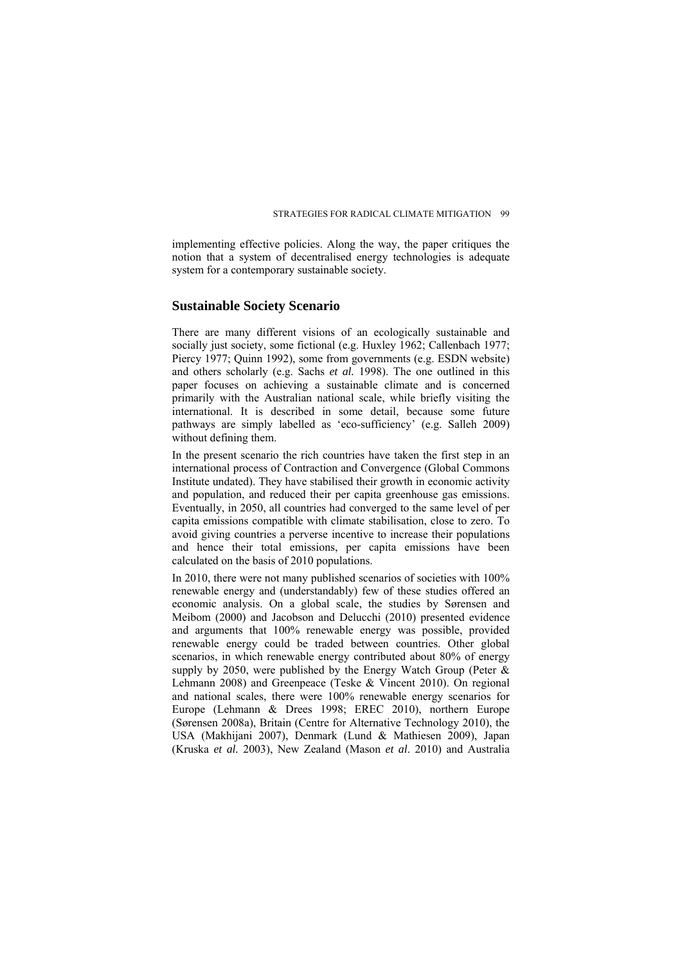implementing effective policies. Along the way, the paper critiques the notion that a system of decentralised energy technologies is adequate system for a contemporary sustainable society.

#### **Sustainable Society Scenario**

There are many different visions of an ecologically sustainable and socially just society, some fictional (e.g. Huxley 1962; Callenbach 1977; Piercy 1977; Quinn 1992), some from governments (e.g. ESDN website) and others scholarly (e.g. Sachs *et al.* 1998). The one outlined in this paper focuses on achieving a sustainable climate and is concerned primarily with the Australian national scale, while briefly visiting the international. It is described in some detail, because some future pathways are simply labelled as 'eco-sufficiency' (e.g. Salleh 2009) without defining them.

In the present scenario the rich countries have taken the first step in an international process of Contraction and Convergence (Global Commons Institute undated). They have stabilised their growth in economic activity and population, and reduced their per capita greenhouse gas emissions. Eventually, in 2050, all countries had converged to the same level of per capita emissions compatible with climate stabilisation, close to zero. To avoid giving countries a perverse incentive to increase their populations and hence their total emissions, per capita emissions have been calculated on the basis of 2010 populations.

In 2010, there were not many published scenarios of societies with 100% renewable energy and (understandably) few of these studies offered an economic analysis. On a global scale, the studies by Sørensen and Meibom (2000) and Jacobson and Delucchi (2010) presented evidence and arguments that 100% renewable energy was possible, provided renewable energy could be traded between countries. Other global scenarios, in which renewable energy contributed about 80% of energy supply by 2050, were published by the Energy Watch Group (Peter  $\&$ Lehmann 2008) and Greenpeace (Teske & Vincent 2010). On regional and national scales, there were 100% renewable energy scenarios for Europe (Lehmann & Drees 1998; EREC 2010), northern Europe (Sørensen 2008a), Britain (Centre for Alternative Technology 2010), the USA (Makhijani 2007), Denmark (Lund & Mathiesen 2009), Japan (Kruska *et al.* 2003), New Zealand (Mason *et al*. 2010) and Australia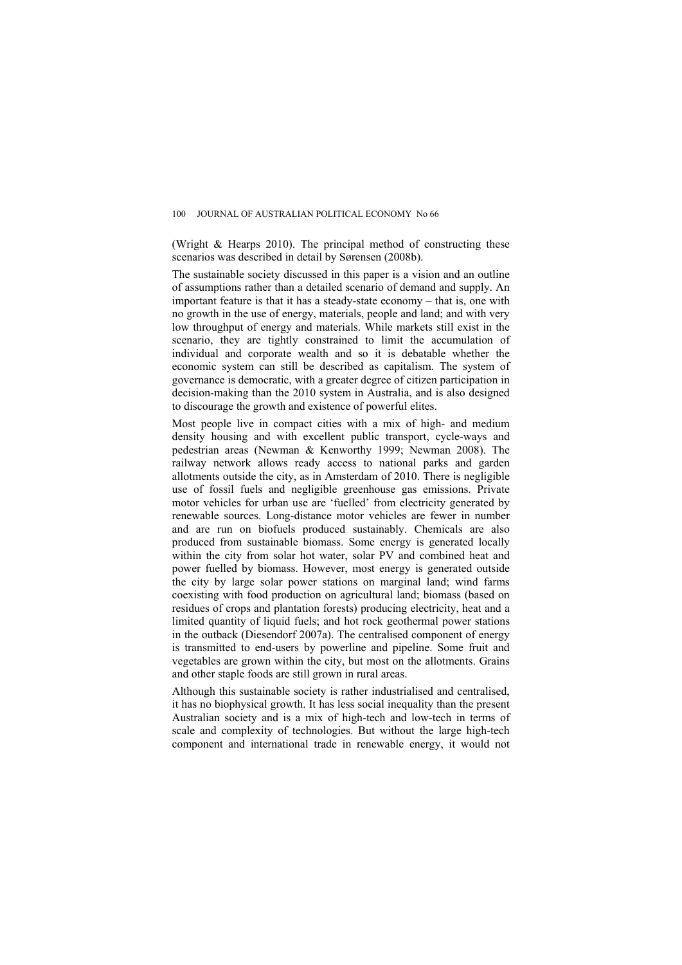(Wright & Hearps 2010). The principal method of constructing these scenarios was described in detail by Sørensen (2008b).

The sustainable society discussed in this paper is a vision and an outline of assumptions rather than a detailed scenario of demand and supply. An important feature is that it has a steady-state economy – that is, one with no growth in the use of energy, materials, people and land; and with very low throughput of energy and materials. While markets still exist in the scenario, they are tightly constrained to limit the accumulation of individual and corporate wealth and so it is debatable whether the economic system can still be described as capitalism. The system of governance is democratic, with a greater degree of citizen participation in decision-making than the 2010 system in Australia, and is also designed to discourage the growth and existence of powerful elites.

Most people live in compact cities with a mix of high- and medium density housing and with excellent public transport, cycle-ways and pedestrian areas (Newman & Kenworthy 1999; Newman 2008). The railway network allows ready access to national parks and garden allotments outside the city, as in Amsterdam of 2010. There is negligible use of fossil fuels and negligible greenhouse gas emissions. Private motor vehicles for urban use are 'fuelled' from electricity generated by renewable sources. Long-distance motor vehicles are fewer in number and are run on biofuels produced sustainably. Chemicals are also produced from sustainable biomass. Some energy is generated locally within the city from solar hot water, solar PV and combined heat and power fuelled by biomass. However, most energy is generated outside the city by large solar power stations on marginal land; wind farms coexisting with food production on agricultural land; biomass (based on residues of crops and plantation forests) producing electricity, heat and a limited quantity of liquid fuels; and hot rock geothermal power stations in the outback (Diesendorf 2007a). The centralised component of energy is transmitted to end-users by powerline and pipeline. Some fruit and vegetables are grown within the city, but most on the allotments. Grains and other staple foods are still grown in rural areas.

Although this sustainable society is rather industrialised and centralised, it has no biophysical growth. It has less social inequality than the present Australian society and is a mix of high-tech and low-tech in terms of scale and complexity of technologies. But without the large high-tech component and international trade in renewable energy, it would not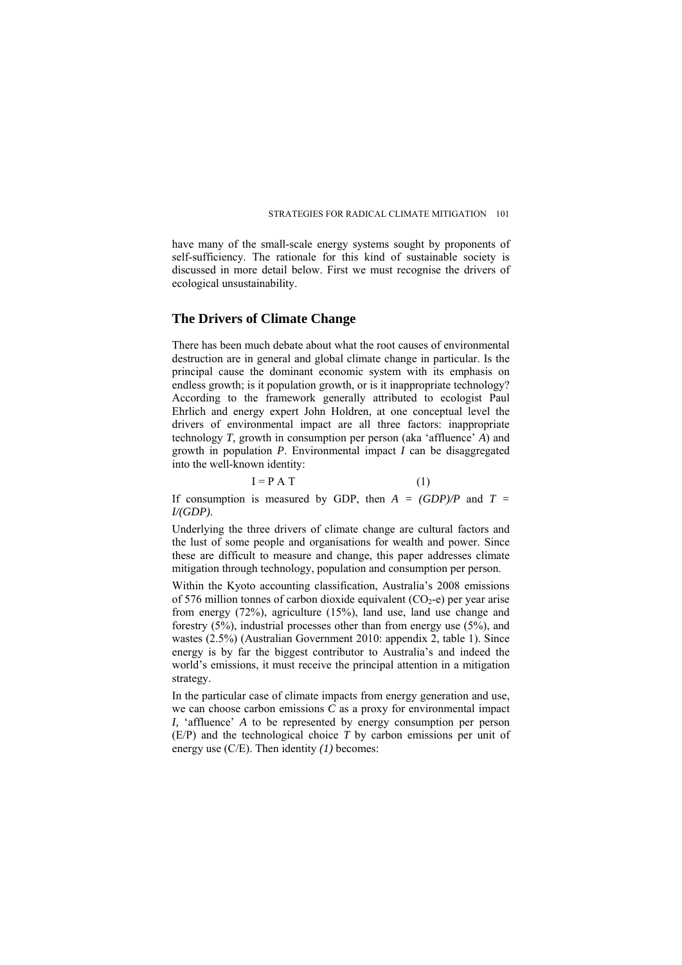have many of the small-scale energy systems sought by proponents of self-sufficiency. The rationale for this kind of sustainable society is discussed in more detail below. First we must recognise the drivers of ecological unsustainability.

#### **The Drivers of Climate Change**

There has been much debate about what the root causes of environmental destruction are in general and global climate change in particular. Is the principal cause the dominant economic system with its emphasis on endless growth; is it population growth, or is it inappropriate technology? According to the framework generally attributed to ecologist Paul Ehrlich and energy expert John Holdren, at one conceptual level the drivers of environmental impact are all three factors: inappropriate technology *T,* growth in consumption per person (aka 'affluence' *A*) and growth in population  $P$ . Environmental impact  $\hat{I}$  can be disaggregated into the well-known identity:

$$
I = P A T
$$
 (1)

If consumption is measured by GDP, then  $A = (GDP)/P$  and  $T =$ *I/(GDP)*.

Underlying the three drivers of climate change are cultural factors and the lust of some people and organisations for wealth and power. Since these are difficult to measure and change, this paper addresses climate mitigation through technology, population and consumption per person.

Within the Kyoto accounting classification, Australia's 2008 emissions of 576 million tonnes of carbon dioxide equivalent  $(CO<sub>2</sub>-e)$  per year arise from energy (72%), agriculture (15%), land use, land use change and forestry (5%), industrial processes other than from energy use (5%), and wastes (2.5%) (Australian Government 2010: appendix 2, table 1). Since energy is by far the biggest contributor to Australia's and indeed the world's emissions, it must receive the principal attention in a mitigation strategy.

In the particular case of climate impacts from energy generation and use, we can choose carbon emissions *C* as a proxy for environmental impact *I,* 'affluence' *A* to be represented by energy consumption per person (E/P) and the technological choice *T* by carbon emissions per unit of energy use (C/E). Then identity *(1)* becomes: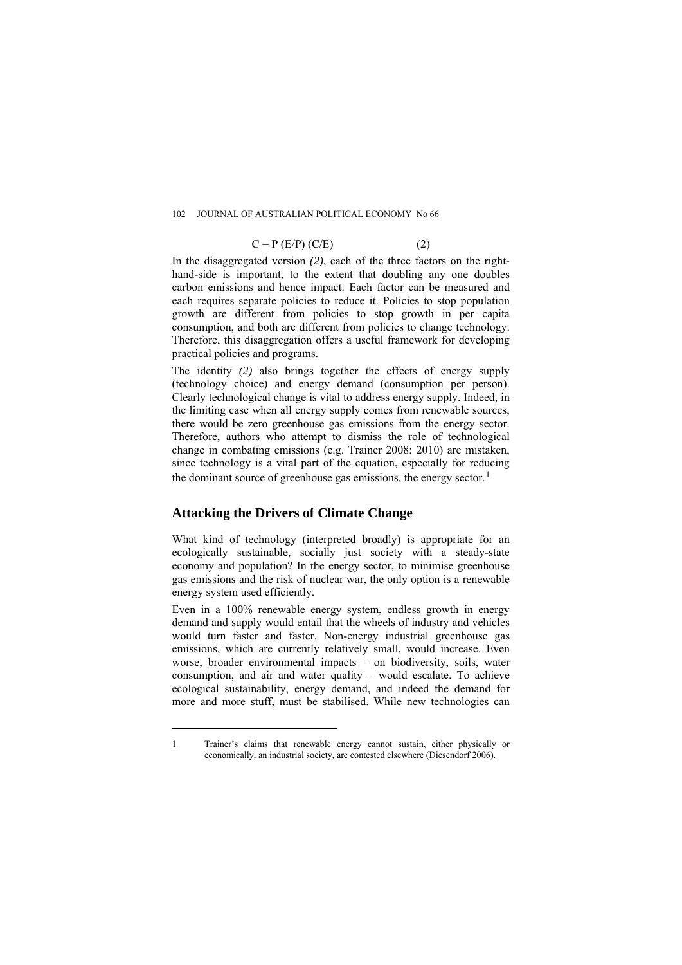#### 102 JOURNAL OF AUSTRALIAN POLITICAL ECONOMY No 66

$$
C = P (E/P) (C/E)
$$
 (2)

In the disaggregated version *(2)*, each of the three factors on the righthand-side is important, to the extent that doubling any one doubles carbon emissions and hence impact. Each factor can be measured and each requires separate policies to reduce it. Policies to stop population growth are different from policies to stop growth in per capita consumption, and both are different from policies to change technology. Therefore, this disaggregation offers a useful framework for developing practical policies and programs.

The identity (2) also brings together the effects of energy supply (technology choice) and energy demand (consumption per person). Clearly technological change is vital to address energy supply. Indeed, in the limiting case when all energy supply comes from renewable sources, there would be zero greenhouse gas emissions from the energy sector. Therefore, authors who attempt to dismiss the role of technological change in combating emissions (e.g. Trainer 2008; 2010) are mistaken, since technology is a vital part of the equation, especially for reducing the dominant source of greenhouse gas emissions, the energy sector.<sup>[1](#page-4-0)</sup>

#### **Attacking the Drivers of Climate Change**

 $\overline{a}$ 

What kind of technology (interpreted broadly) is appropriate for an ecologically sustainable, socially just society with a steady-state economy and population? In the energy sector, to minimise greenhouse gas emissions and the risk of nuclear war, the only option is a renewable energy system used efficiently.

Even in a 100% renewable energy system, endless growth in energy demand and supply would entail that the wheels of industry and vehicles would turn faster and faster. Non-energy industrial greenhouse gas emissions, which are currently relatively small, would increase. Even worse, broader environmental impacts – on biodiversity, soils, water consumption, and air and water quality – would escalate. To achieve ecological sustainability, energy demand, and indeed the demand for more and more stuff, must be stabilised. While new technologies can

<span id="page-4-0"></span>1 Trainer's claims that renewable energy cannot sustain, either physically or economically, an industrial society, are contested elsewhere (Diesendorf 2006).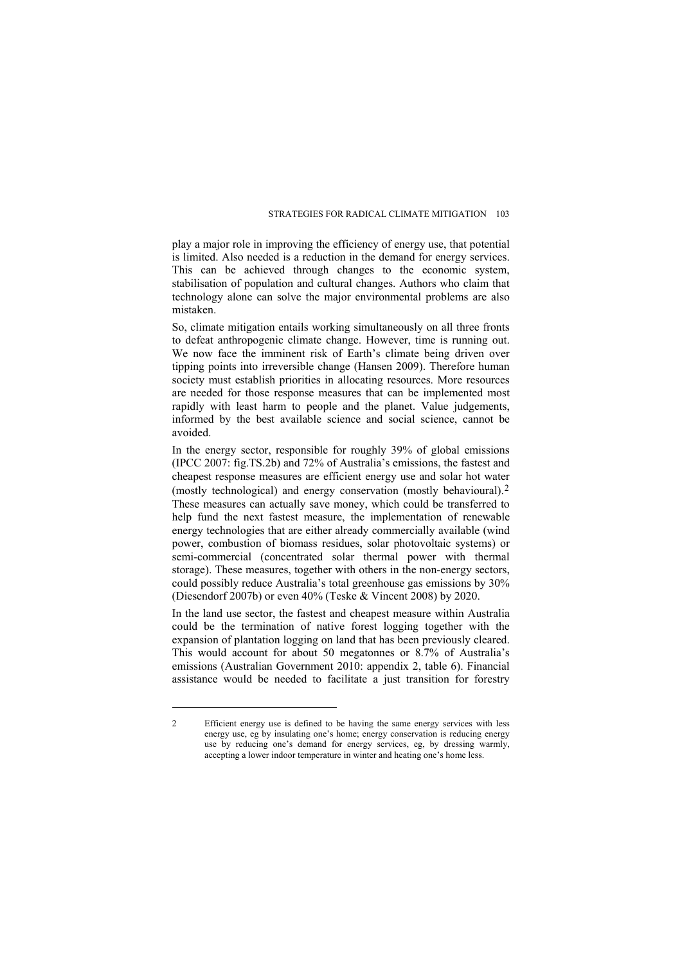play a major role in improving the efficiency of energy use, that potential is limited. Also needed is a reduction in the demand for energy services. This can be achieved through changes to the economic system, stabilisation of population and cultural changes. Authors who claim that technology alone can solve the major environmental problems are also mistaken.

So, climate mitigation entails working simultaneously on all three fronts to defeat anthropogenic climate change. However, time is running out. We now face the imminent risk of Earth's climate being driven over tipping points into irreversible change (Hansen 2009). Therefore human society must establish priorities in allocating resources. More resources are needed for those response measures that can be implemented most rapidly with least harm to people and the planet. Value judgements, informed by the best available science and social science, cannot be avoided.

In the energy sector, responsible for roughly 39% of global emissions (IPCC 2007: fig.TS.2b) and 72% of Australia's emissions, the fastest and cheapest response measures are efficient energy use and solar hot water (mostly technological) and energy conservation (mostly behavioural).[2](#page-5-0) These measures can actually save money, which could be transferred to help fund the next fastest measure, the implementation of renewable energy technologies that are either already commercially available (wind power, combustion of biomass residues, solar photovoltaic systems) or semi-commercial (concentrated solar thermal power with thermal storage). These measures, together with others in the non-energy sectors, could possibly reduce Australia's total greenhouse gas emissions by 30% (Diesendorf 2007b) or even 40% (Teske & Vincent 2008) by 2020.

In the land use sector, the fastest and cheapest measure within Australia could be the termination of native forest logging together with the expansion of plantation logging on land that has been previously cleared. This would account for about 50 megatonnes or 8.7% of Australia's emissions (Australian Government 2010: appendix 2, table 6). Financial assistance would be needed to facilitate a just transition for forestry

 $\overline{a}$ 

<span id="page-5-0"></span><sup>2</sup> Efficient energy use is defined to be having the same energy services with less energy use, eg by insulating one's home; energy conservation is reducing energy use by reducing one's demand for energy services, eg, by dressing warmly, accepting a lower indoor temperature in winter and heating one's home less.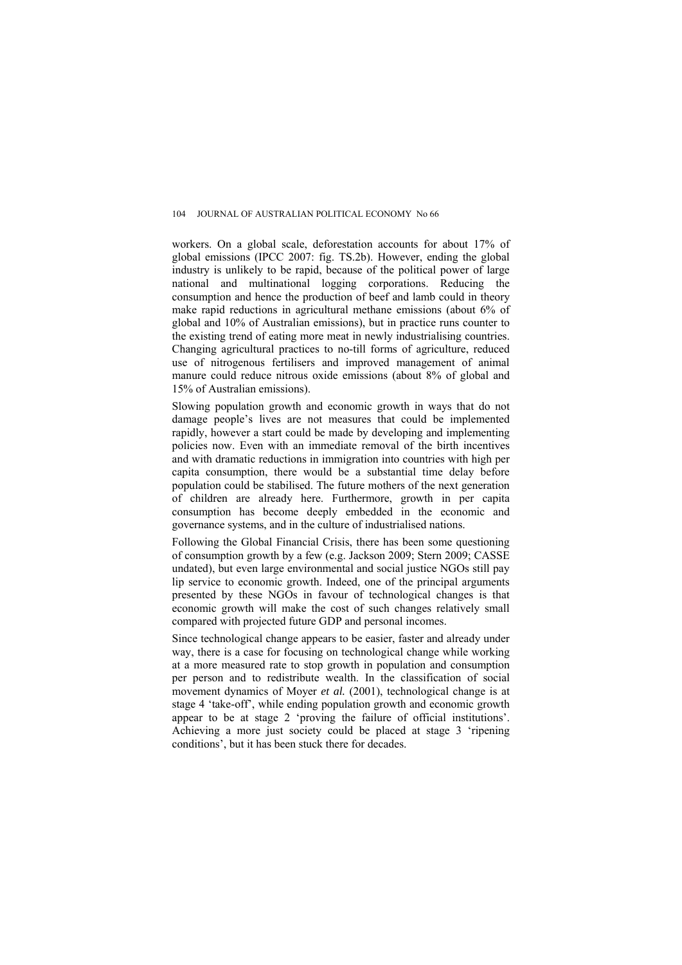workers. On a global scale, deforestation accounts for about 17% of global emissions (IPCC 2007: fig. TS.2b). However, ending the global industry is unlikely to be rapid, because of the political power of large national and multinational logging corporations. Reducing the consumption and hence the production of beef and lamb could in theory make rapid reductions in agricultural methane emissions (about 6% of global and 10% of Australian emissions), but in practice runs counter to the existing trend of eating more meat in newly industrialising countries. Changing agricultural practices to no-till forms of agriculture, reduced use of nitrogenous fertilisers and improved management of animal manure could reduce nitrous oxide emissions (about 8% of global and 15% of Australian emissions).

Slowing population growth and economic growth in ways that do not damage people's lives are not measures that could be implemented rapidly, however a start could be made by developing and implementing policies now. Even with an immediate removal of the birth incentives and with dramatic reductions in immigration into countries with high per capita consumption, there would be a substantial time delay before population could be stabilised. The future mothers of the next generation of children are already here. Furthermore, growth in per capita consumption has become deeply embedded in the economic and governance systems, and in the culture of industrialised nations.

Following the Global Financial Crisis, there has been some questioning of consumption growth by a few (e.g. Jackson 2009; Stern 2009; CASSE undated), but even large environmental and social justice NGOs still pay lip service to economic growth. Indeed, one of the principal arguments presented by these NGOs in favour of technological changes is that economic growth will make the cost of such changes relatively small compared with projected future GDP and personal incomes.

Since technological change appears to be easier, faster and already under way, there is a case for focusing on technological change while working at a more measured rate to stop growth in population and consumption per person and to redistribute wealth. In the classification of social movement dynamics of Moyer *et al.* (2001), technological change is at stage 4 'take-off', while ending population growth and economic growth appear to be at stage 2 'proving the failure of official institutions'. Achieving a more just society could be placed at stage 3 'ripening conditions', but it has been stuck there for decades.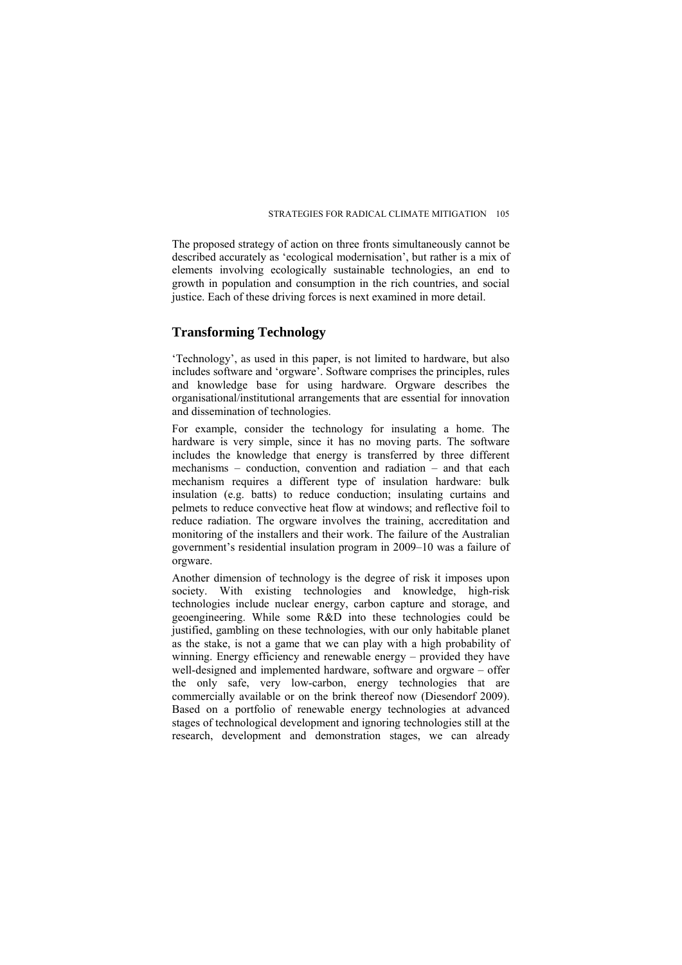The proposed strategy of action on three fronts simultaneously cannot be described accurately as 'ecological modernisation', but rather is a mix of elements involving ecologically sustainable technologies, an end to growth in population and consumption in the rich countries, and social justice. Each of these driving forces is next examined in more detail.

#### **Transforming Technology**

'Technology', as used in this paper, is not limited to hardware, but also includes software and 'orgware'. Software comprises the principles, rules and knowledge base for using hardware. Orgware describes the organisational/institutional arrangements that are essential for innovation and dissemination of technologies.

For example, consider the technology for insulating a home. The hardware is very simple, since it has no moving parts. The software includes the knowledge that energy is transferred by three different mechanisms – conduction, convention and radiation – and that each mechanism requires a different type of insulation hardware: bulk insulation (e.g. batts) to reduce conduction; insulating curtains and pelmets to reduce convective heat flow at windows; and reflective foil to reduce radiation. The orgware involves the training, accreditation and monitoring of the installers and their work. The failure of the Australian government's residential insulation program in 2009–10 was a failure of orgware.

Another dimension of technology is the degree of risk it imposes upon society. With existing technologies and knowledge, high-risk technologies include nuclear energy, carbon capture and storage, and geoengineering. While some R&D into these technologies could be justified, gambling on these technologies, with our only habitable planet as the stake, is not a game that we can play with a high probability of winning. Energy efficiency and renewable energy – provided they have well-designed and implemented hardware, software and orgware – offer the only safe, very low-carbon, energy technologies that are commercially available or on the brink thereof now (Diesendorf 2009). Based on a portfolio of renewable energy technologies at advanced stages of technological development and ignoring technologies still at the research, development and demonstration stages, we can already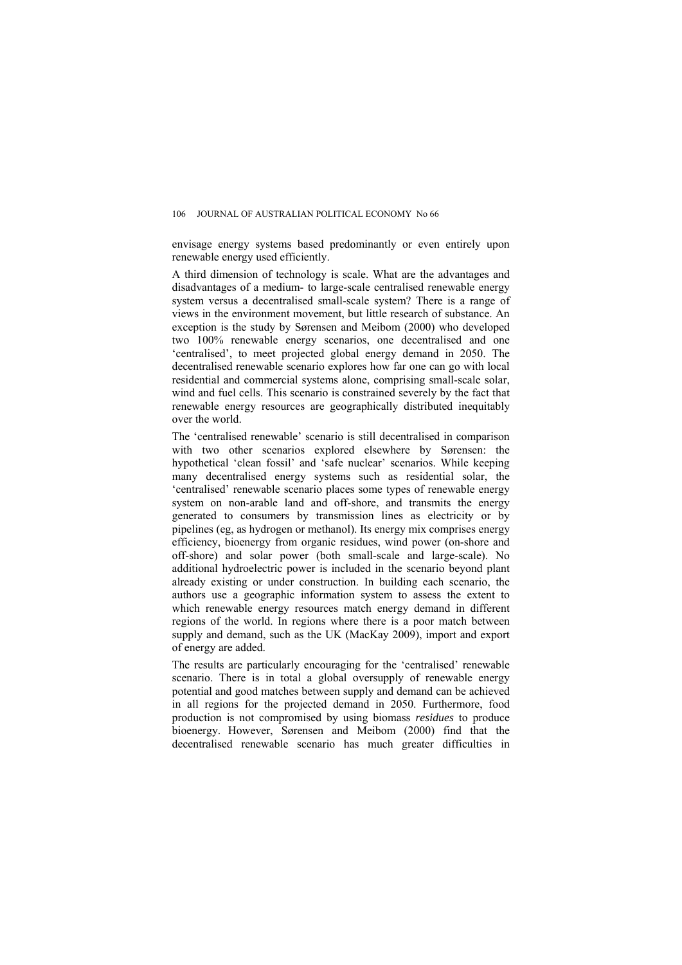envisage energy systems based predominantly or even entirely upon renewable energy used efficiently.

A third dimension of technology is scale. What are the advantages and disadvantages of a medium- to large-scale centralised renewable energy system versus a decentralised small-scale system? There is a range of views in the environment movement, but little research of substance. An exception is the study by Sørensen and Meibom (2000) who developed two 100% renewable energy scenarios, one decentralised and one 'centralised', to meet projected global energy demand in 2050. The decentralised renewable scenario explores how far one can go with local residential and commercial systems alone, comprising small-scale solar, wind and fuel cells. This scenario is constrained severely by the fact that renewable energy resources are geographically distributed inequitably over the world.

The 'centralised renewable' scenario is still decentralised in comparison with two other scenarios explored elsewhere by Sørensen: the hypothetical 'clean fossil' and 'safe nuclear' scenarios. While keeping many decentralised energy systems such as residential solar, the 'centralised' renewable scenario places some types of renewable energy system on non-arable land and off-shore, and transmits the energy generated to consumers by transmission lines as electricity or by pipelines (eg, as hydrogen or methanol). Its energy mix comprises energy efficiency, bioenergy from organic residues, wind power (on-shore and off-shore) and solar power (both small-scale and large-scale). No additional hydroelectric power is included in the scenario beyond plant already existing or under construction. In building each scenario, the authors use a geographic information system to assess the extent to which renewable energy resources match energy demand in different regions of the world. In regions where there is a poor match between supply and demand, such as the UK (MacKay 2009), import and export of energy are added.

The results are particularly encouraging for the 'centralised' renewable scenario. There is in total a global oversupply of renewable energy potential and good matches between supply and demand can be achieved in all regions for the projected demand in 2050. Furthermore, food production is not compromised by using biomass *residues* to produce bioenergy. However, Sørensen and Meibom (2000) find that the decentralised renewable scenario has much greater difficulties in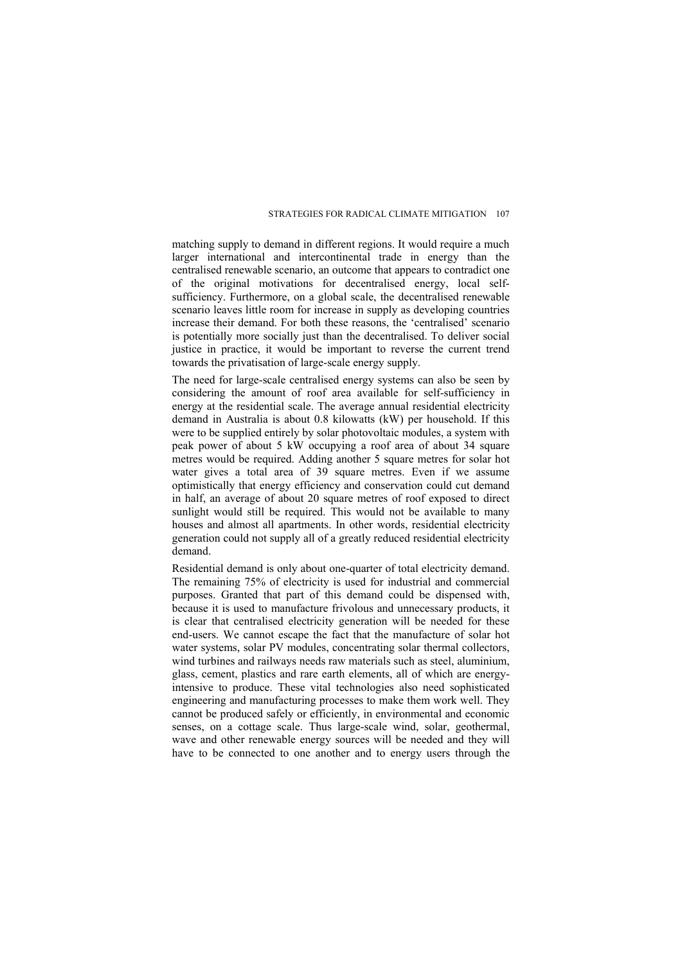matching supply to demand in different regions. It would require a much larger international and intercontinental trade in energy than the centralised renewable scenario, an outcome that appears to contradict one of the original motivations for decentralised energy, local selfsufficiency. Furthermore, on a global scale, the decentralised renewable scenario leaves little room for increase in supply as developing countries increase their demand. For both these reasons, the 'centralised' scenario is potentially more socially just than the decentralised. To deliver social justice in practice, it would be important to reverse the current trend towards the privatisation of large-scale energy supply.

The need for large-scale centralised energy systems can also be seen by considering the amount of roof area available for self-sufficiency in energy at the residential scale. The average annual residential electricity demand in Australia is about 0.8 kilowatts (kW) per household. If this were to be supplied entirely by solar photovoltaic modules, a system with peak power of about 5 kW occupying a roof area of about 34 square metres would be required. Adding another 5 square metres for solar hot water gives a total area of 39 square metres. Even if we assume optimistically that energy efficiency and conservation could cut demand in half, an average of about 20 square metres of roof exposed to direct sunlight would still be required. This would not be available to many houses and almost all apartments. In other words, residential electricity generation could not supply all of a greatly reduced residential electricity demand.

Residential demand is only about one-quarter of total electricity demand. The remaining 75% of electricity is used for industrial and commercial purposes. Granted that part of this demand could be dispensed with, because it is used to manufacture frivolous and unnecessary products, it is clear that centralised electricity generation will be needed for these end-users. We cannot escape the fact that the manufacture of solar hot water systems, solar PV modules, concentrating solar thermal collectors, wind turbines and railways needs raw materials such as steel, aluminium, glass, cement, plastics and rare earth elements, all of which are energyintensive to produce. These vital technologies also need sophisticated engineering and manufacturing processes to make them work well. They cannot be produced safely or efficiently, in environmental and economic senses, on a cottage scale. Thus large-scale wind, solar, geothermal, wave and other renewable energy sources will be needed and they will have to be connected to one another and to energy users through the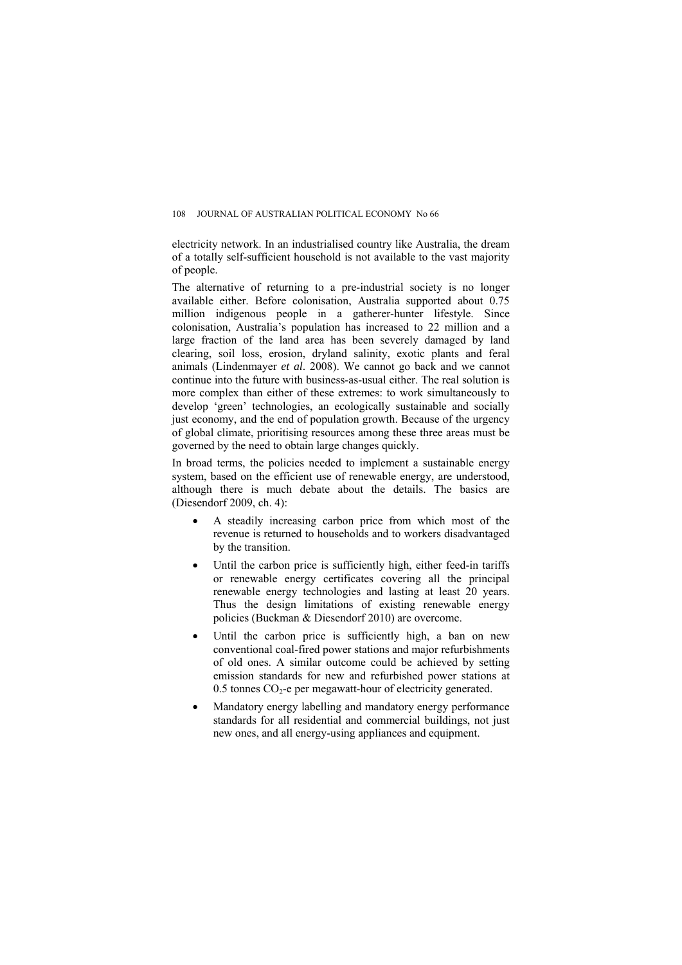electricity network. In an industrialised country like Australia, the dream of a totally self-sufficient household is not available to the vast majority of people.

The alternative of returning to a pre-industrial society is no longer available either. Before colonisation, Australia supported about 0.75 million indigenous people in a gatherer-hunter lifestyle. Since colonisation, Australia's population has increased to 22 million and a large fraction of the land area has been severely damaged by land clearing, soil loss, erosion, dryland salinity, exotic plants and feral animals (Lindenmayer *et al*. 2008). We cannot go back and we cannot continue into the future with business-as-usual either. The real solution is more complex than either of these extremes: to work simultaneously to develop 'green' technologies, an ecologically sustainable and socially just economy, and the end of population growth. Because of the urgency of global climate, prioritising resources among these three areas must be governed by the need to obtain large changes quickly.

In broad terms, the policies needed to implement a sustainable energy system, based on the efficient use of renewable energy, are understood, although there is much debate about the details. The basics are (Diesendorf 2009, ch. 4):

- A steadily increasing carbon price from which most of the revenue is returned to households and to workers disadvantaged by the transition.
- Until the carbon price is sufficiently high, either feed-in tariffs or renewable energy certificates covering all the principal renewable energy technologies and lasting at least 20 years. Thus the design limitations of existing renewable energy policies (Buckman & Diesendorf 2010) are overcome.
- Until the carbon price is sufficiently high, a ban on new conventional coal-fired power stations and major refurbishments of old ones. A similar outcome could be achieved by setting emission standards for new and refurbished power stations at  $0.5$  tonnes  $CO<sub>2</sub>$ -e per megawatt-hour of electricity generated.
- Mandatory energy labelling and mandatory energy performance standards for all residential and commercial buildings, not just new ones, and all energy-using appliances and equipment.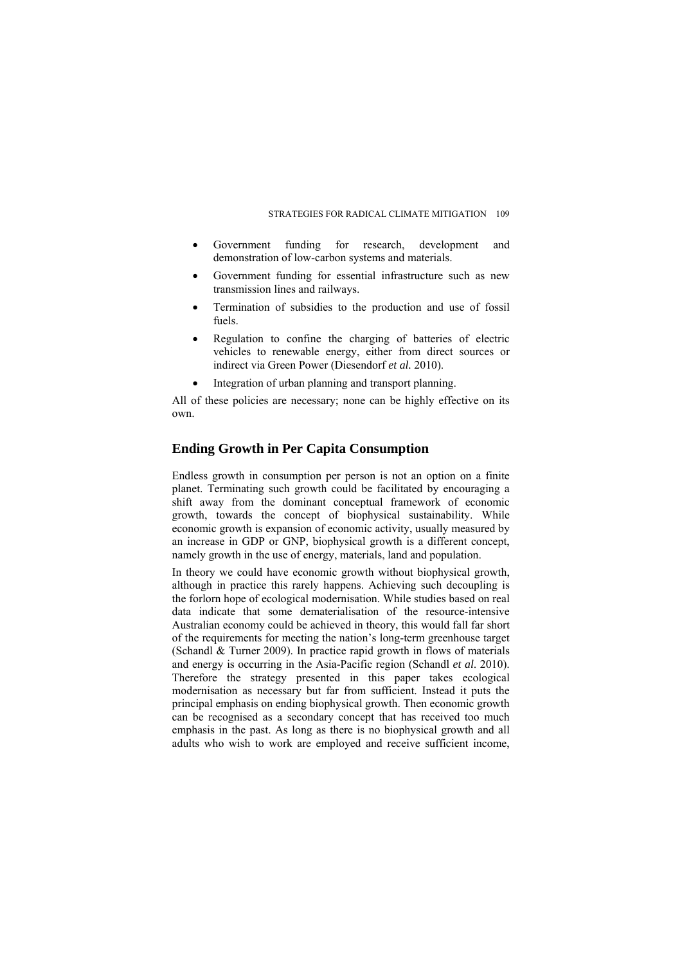- Government funding for research, development and demonstration of low-carbon systems and materials.
- Government funding for essential infrastructure such as new transmission lines and railways.
- Termination of subsidies to the production and use of fossil fuels.
- Regulation to confine the charging of batteries of electric vehicles to renewable energy, either from direct sources or indirect via Green Power (Diesendorf *et al.* 2010).
- Integration of urban planning and transport planning.

All of these policies are necessary; none can be highly effective on its own.

#### **Ending Growth in Per Capita Consumption**

Endless growth in consumption per person is not an option on a finite planet. Terminating such growth could be facilitated by encouraging a shift away from the dominant conceptual framework of economic growth, towards the concept of biophysical sustainability. While economic growth is expansion of economic activity, usually measured by an increase in GDP or GNP, biophysical growth is a different concept, namely growth in the use of energy, materials, land and population.

In theory we could have economic growth without biophysical growth, although in practice this rarely happens. Achieving such decoupling is the forlorn hope of ecological modernisation. While studies based on real data indicate that some dematerialisation of the resource-intensive Australian economy could be achieved in theory, this would fall far short of the requirements for meeting the nation's long-term greenhouse target (Schandl & Turner 2009). In practice rapid growth in flows of materials and energy is occurring in the Asia-Pacific region (Schandl *et al*. 2010). Therefore the strategy presented in this paper takes ecological modernisation as necessary but far from sufficient. Instead it puts the principal emphasis on ending biophysical growth. Then economic growth can be recognised as a secondary concept that has received too much emphasis in the past. As long as there is no biophysical growth and all adults who wish to work are employed and receive sufficient income,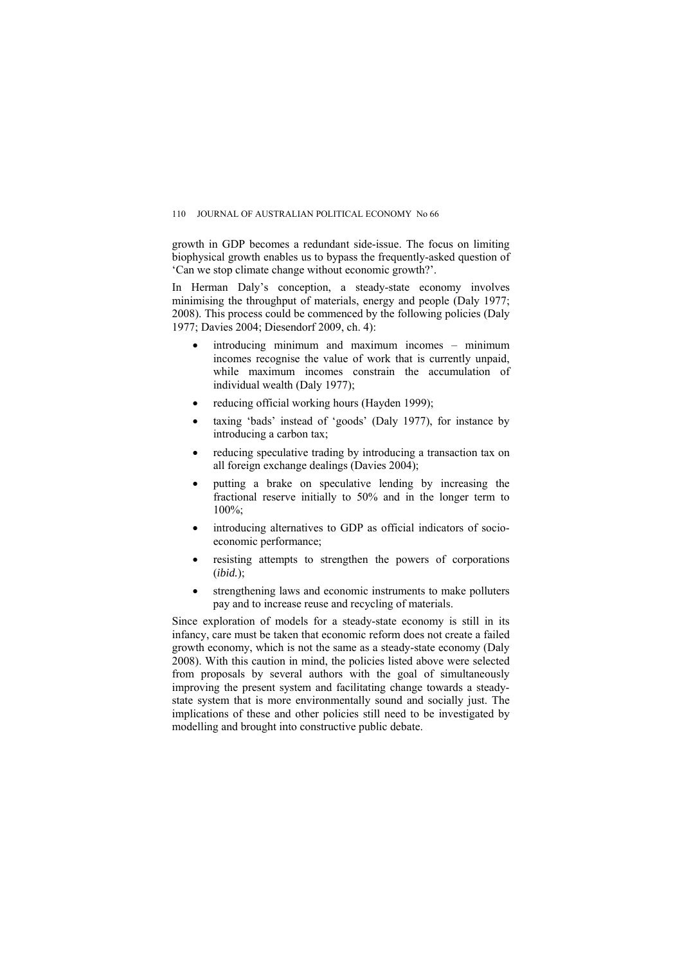growth in GDP becomes a redundant side-issue. The focus on limiting biophysical growth enables us to bypass the frequently-asked question of 'Can we stop climate change without economic growth?'.

In Herman Daly's conception, a steady-state economy involves minimising the throughput of materials, energy and people (Daly 1977; 2008). This process could be commenced by the following policies (Daly 1977; Davies 2004; Diesendorf 2009, ch. 4):

- introducing minimum and maximum incomes minimum incomes recognise the value of work that is currently unpaid, while maximum incomes constrain the accumulation of individual wealth (Daly 1977);
- reducing official working hours (Hayden 1999);
- taxing 'bads' instead of 'goods' (Daly 1977), for instance by introducing a carbon tax;
- reducing speculative trading by introducing a transaction tax on all foreign exchange dealings (Davies 2004);
- putting a brake on speculative lending by increasing the fractional reserve initially to 50% and in the longer term to  $100\%$
- introducing alternatives to GDP as official indicators of socioeconomic performance;
- resisting attempts to strengthen the powers of corporations (*ibid.*);
- strengthening laws and economic instruments to make polluters pay and to increase reuse and recycling of materials.

Since exploration of models for a steady-state economy is still in its infancy, care must be taken that economic reform does not create a failed growth economy, which is not the same as a steady-state economy (Daly 2008). With this caution in mind, the policies listed above were selected from proposals by several authors with the goal of simultaneously improving the present system and facilitating change towards a steadystate system that is more environmentally sound and socially just. The implications of these and other policies still need to be investigated by modelling and brought into constructive public debate.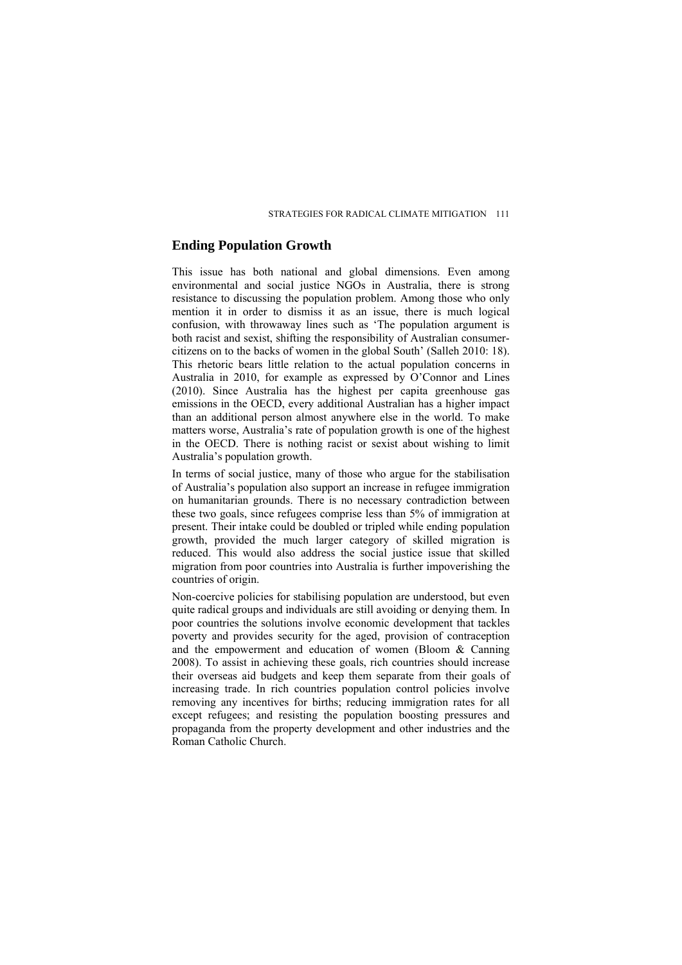#### **Ending Population Growth**

This issue has both national and global dimensions. Even among environmental and social justice NGOs in Australia, there is strong resistance to discussing the population problem. Among those who only mention it in order to dismiss it as an issue, there is much logical confusion, with throwaway lines such as 'The population argument is both racist and sexist, shifting the responsibility of Australian consumercitizens on to the backs of women in the global South' (Salleh 2010: 18). This rhetoric bears little relation to the actual population concerns in Australia in 2010, for example as expressed by O'Connor and Lines (2010). Since Australia has the highest per capita greenhouse gas emissions in the OECD, every additional Australian has a higher impact than an additional person almost anywhere else in the world. To make matters worse, Australia's rate of population growth is one of the highest in the OECD. There is nothing racist or sexist about wishing to limit Australia's population growth.

In terms of social justice, many of those who argue for the stabilisation of Australia's population also support an increase in refugee immigration on humanitarian grounds. There is no necessary contradiction between these two goals, since refugees comprise less than 5% of immigration at present. Their intake could be doubled or tripled while ending population growth, provided the much larger category of skilled migration is reduced. This would also address the social justice issue that skilled migration from poor countries into Australia is further impoverishing the countries of origin.

Non-coercive policies for stabilising population are understood, but even quite radical groups and individuals are still avoiding or denying them. In poor countries the solutions involve economic development that tackles poverty and provides security for the aged, provision of contraception and the empowerment and education of women (Bloom & Canning 2008). To assist in achieving these goals, rich countries should increase their overseas aid budgets and keep them separate from their goals of increasing trade. In rich countries population control policies involve removing any incentives for births; reducing immigration rates for all except refugees; and resisting the population boosting pressures and propaganda from the property development and other industries and the Roman Catholic Church.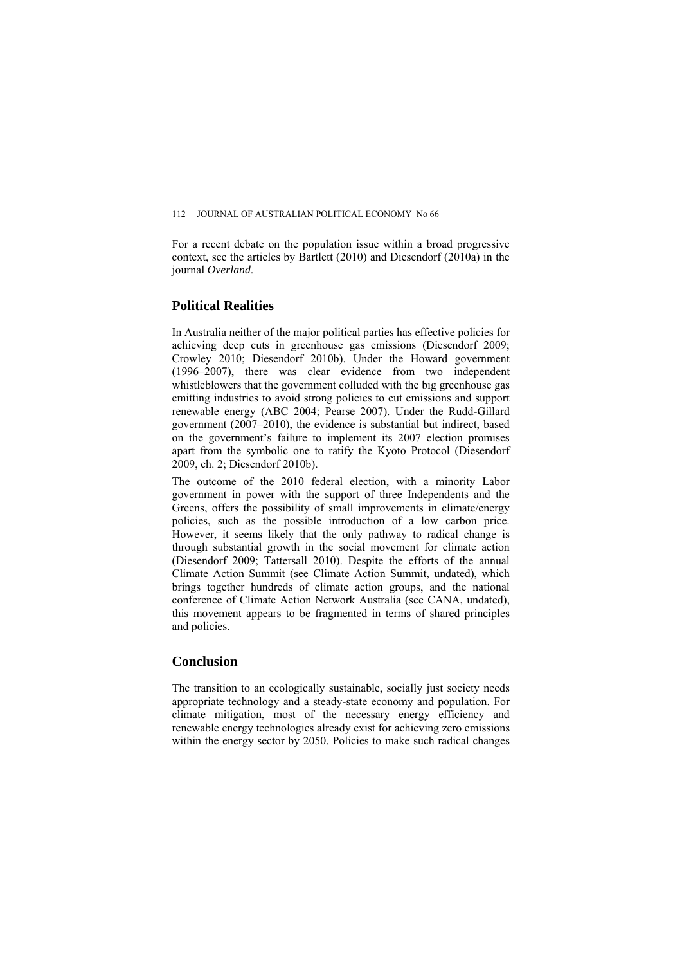For a recent debate on the population issue within a broad progressive context, see the articles by Bartlett (2010) and Diesendorf (2010a) in the journal *Overland*.

## **Political Realities**

In Australia neither of the major political parties has effective policies for achieving deep cuts in greenhouse gas emissions (Diesendorf 2009; Crowley 2010; Diesendorf 2010b). Under the Howard government (1996–2007), there was clear evidence from two independent whistleblowers that the government colluded with the big greenhouse gas emitting industries to avoid strong policies to cut emissions and support renewable energy (ABC 2004; Pearse 2007). Under the Rudd-Gillard government (2007–2010), the evidence is substantial but indirect, based on the government's failure to implement its 2007 election promises apart from the symbolic one to ratify the Kyoto Protocol (Diesendorf 2009, ch. 2; Diesendorf 2010b).

The outcome of the 2010 federal election, with a minority Labor government in power with the support of three Independents and the Greens, offers the possibility of small improvements in climate/energy policies, such as the possible introduction of a low carbon price. However, it seems likely that the only pathway to radical change is through substantial growth in the social movement for climate action (Diesendorf 2009; Tattersall 2010). Despite the efforts of the annual Climate Action Summit (see Climate Action Summit, undated), which brings together hundreds of climate action groups, and the national conference of Climate Action Network Australia (see CANA, undated), this movement appears to be fragmented in terms of shared principles and policies.

### **Conclusion**

The transition to an ecologically sustainable, socially just society needs appropriate technology and a steady-state economy and population. For climate mitigation, most of the necessary energy efficiency and renewable energy technologies already exist for achieving zero emissions within the energy sector by 2050. Policies to make such radical changes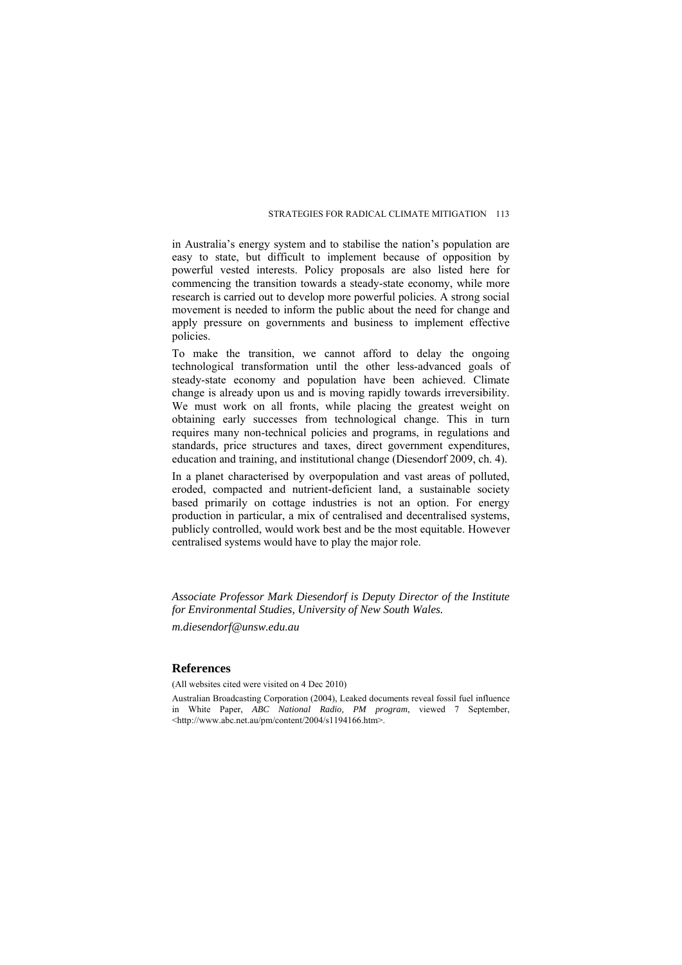in Australia's energy system and to stabilise the nation's population are easy to state, but difficult to implement because of opposition by powerful vested interests. Policy proposals are also listed here for commencing the transition towards a steady-state economy, while more research is carried out to develop more powerful policies. A strong social movement is needed to inform the public about the need for change and apply pressure on governments and business to implement effective policies.

To make the transition, we cannot afford to delay the ongoing technological transformation until the other less-advanced goals of steady-state economy and population have been achieved. Climate change is already upon us and is moving rapidly towards irreversibility. We must work on all fronts, while placing the greatest weight on obtaining early successes from technological change. This in turn requires many non-technical policies and programs, in regulations and standards, price structures and taxes, direct government expenditures, education and training, and institutional change (Diesendorf 2009, ch. 4).

In a planet characterised by overpopulation and vast areas of polluted, eroded, compacted and nutrient-deficient land, a sustainable society based primarily on cottage industries is not an option. For energy production in particular, a mix of centralised and decentralised systems, publicly controlled, would work best and be the most equitable. However centralised systems would have to play the major role.

*Associate Professor Mark Diesendorf is Deputy Director of the Institute for Environmental Studies, University of New South Wales.* 

*m.diesendorf@unsw.edu.au* 

#### **References**

(All websites cited were visited on 4 Dec 2010)

Australian Broadcasting Corporation (2004), Leaked documents reveal fossil fuel influence in White Paper, *ABC National Radio, PM program*, viewed 7 September, <http://www.abc.net.au/pm/content/2004/s1194166.htm>.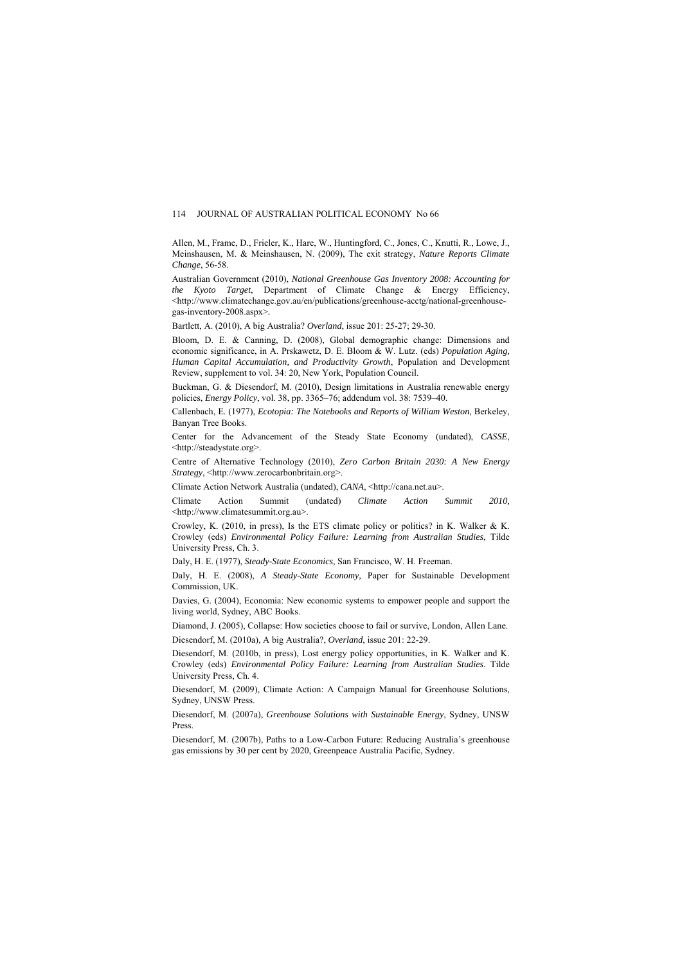Allen, M., Frame, D., Frieler, K., Hare, W., Huntingford, C., Jones, C., Knutti, R., Lowe, J., Meinshausen, M. & Meinshausen, N. (2009), The exit strategy, *Nature Reports Climate Change*, 56-58.

Australian Government (2010), *National Greenhouse Gas Inventory 2008: Accounting for the Kyoto Target*, Department of Climate Change & Energy Efficiency, <http://www.climatechange.gov.au/en/publications/greenhouse-acctg/national-greenhousegas-inventory-2008.aspx>*.*

Bartlett, A. (2010), A big Australia? *Overland*, issue 201: 25-27; 29-30.

Bloom, D. E. & Canning, D. (2008), Global demographic change: Dimensions and economic significance, in A. Prskawetz, D. E. Bloom & W. Lutz. (eds) *Population Aging, Human Capital Accumulation, and Productivity Growth*, Population and Development Review, supplement to vol. 34: 20, New York, Population Council.

Buckman, G. & Diesendorf, M. (2010), Design limitations in Australia renewable energy policies, *Energy Policy*, vol. 38, pp. 3365–76; addendum vol. 38: 7539–40.

Callenbach, E. (1977), *Ecotopia: The Notebooks and Reports of William Weston*, Berkeley, Banyan Tree Books.

Center for the Advancement of the Steady State Economy (undated), *CASSE*, <http://steadystate.org>.

Centre of Alternative Technology (2010), *Zero Carbon Britain 2030: A New Energy Strategy*, <http://www.zerocarbonbritain.org>.

Climate Action Network Australia (undated), *CANA*, <http://cana.net.au>.

Climate Action Summit (undated) *Climate Action Summit 2010,*  <http://www.climatesummit.org.au>.

Crowley, K. (2010, in press), Is the ETS climate policy or politics? in K. Walker  $\& K$ . Crowley (eds) *Environmental Policy Failure: Learning from Australian Studies*, Tilde University Press, Ch. 3.

Daly, H. E. (1977), *Steady-State Economics,* San Francisco, W. H. Freeman.

Daly, H. E. (2008), *A Steady-State Economy,* Paper for Sustainable Development Commission, UK.

Davies, G. (2004), Economia: New economic systems to empower people and support the living world, Sydney, ABC Books.

Diamond, J. (2005), Collapse: How societies choose to fail or survive, London, Allen Lane.

Diesendorf, M. (2010a), A big Australia?, *Overland*, issue 201: 22-29.

Diesendorf, M. (2010b, in press), Lost energy policy opportunities, in K. Walker and K. Crowley (eds) *Environmental Policy Failure: Learning from Australian Studies*. Tilde University Press, Ch. 4.

Diesendorf, M. (2009), Climate Action: A Campaign Manual for Greenhouse Solutions, Sydney, UNSW Press.

Diesendorf, M. (2007a), *Greenhouse Solutions with Sustainable Energy*, Sydney, UNSW Press.

Diesendorf, M. (2007b), Paths to a Low-Carbon Future: Reducing Australia's greenhouse gas emissions by 30 per cent by 2020, Greenpeace Australia Pacific, Sydney.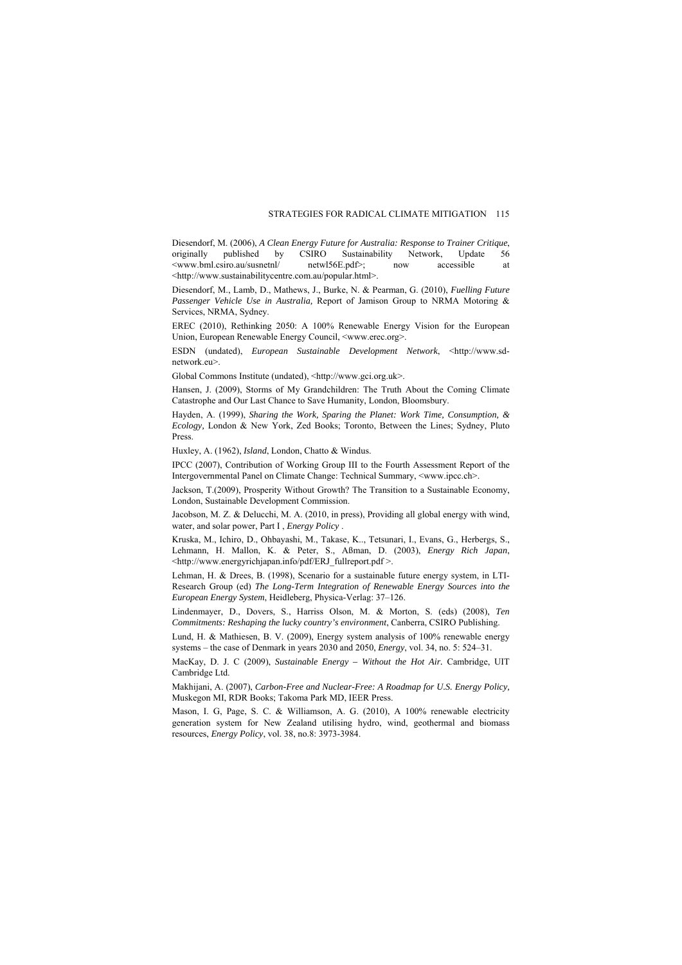Diesendorf, M. (2006), *A Clean Energy Future for Australia: Response to Trainer Critique*, originally published by CSIRO Sustainability Network, Update 56 <www.bml.csiro.au/susnetnl/ netwl56E.pdf>; now accessible at <http://www.sustainabilitycentre.com.au/popular.html>.

Diesendorf, M., Lamb, D., Mathews, J., Burke, N. & Pearman, G. (2010), *Fuelling Future Passenger Vehicle Use in Australia,* Report of Jamison Group to NRMA Motoring & Services, NRMA, Sydney.

EREC (2010), Rethinking 2050: A 100% Renewable Energy Vision for the European Union, European Renewable Energy Council, <www.erec.org>.

ESDN (undated), *European Sustainable Development Network*, <http://www.sdnetwork.eu>.

Global Commons Institute (undated), <http://www.gci.org.uk>.

Hansen, J. (2009), Storms of My Grandchildren: The Truth About the Coming Climate Catastrophe and Our Last Chance to Save Humanity, London, Bloomsbury.

Hayden, A. (1999), *Sharing the Work, Sparing the Planet: Work Time, Consumption, & Ecology,* London & New York, Zed Books; Toronto, Between the Lines; Sydney, Pluto Press.

Huxley, A. (1962), *Island*, London, Chatto & Windus.

IPCC (2007), Contribution of Working Group III to the Fourth Assessment Report of the Intergovernmental Panel on Climate Change: Technical Summary, <www.ipcc.ch>.

Jackson, T.(2009), Prosperity Without Growth? The Transition to a Sustainable Economy, London, Sustainable Development Commission.

Jacobson, M. Z. & Delucchi, M. A. (2010, in press), Providing all global energy with wind, water, and solar power, Part I , *Energy Policy* .

Kruska, M., Ichiro, D., Ohbayashi, M., Takase, K.., Tetsunari, I., Evans, G., Herbergs, S., Lehmann, H. Mallon, K. & Peter, S., Aßman, D. (2003), *Energy Rich Japan*, <http://www.energyrichjapan.info/pdf/ERJ\_fullreport.pdf >.

Lehman, H. & Drees, B. (1998), Scenario for a sustainable future energy system, in LTI-Research Group (ed) *The Long-Term Integration of Renewable Energy Sources into the European Energy System*, Heidleberg, Physica-Verlag: 37–126.

Lindenmayer, D., Dovers, S., Harriss Olson, M. & Morton, S. (eds) (2008), *Ten Commitments: Reshaping the lucky country's environment*, Canberra, CSIRO Publishing.

Lund, H. & Mathiesen, B. V. (2009), Energy system analysis of 100% renewable energy systems – the case of Denmark in years 2030 and 2050, *Energy*, vol. 34, no. 5: 524–31.

MacKay, D. J. C (2009), *Sustainable Energy – Without the Hot Air.* Cambridge, UIT Cambridge Ltd.

Makhijani, A. (2007), *Carbon-Free and Nuclear-Free: A Roadmap for U.S. Energy Policy,*  Muskegon MI, RDR Books; Takoma Park MD, IEER Press.

Mason, I. G. Page, S. C. & Williamson, A. G. (2010), A 100% renewable electricity generation system for New Zealand utilising hydro, wind, geothermal and biomass resources, *Energy Policy*, vol. 38, no.8: 3973-3984.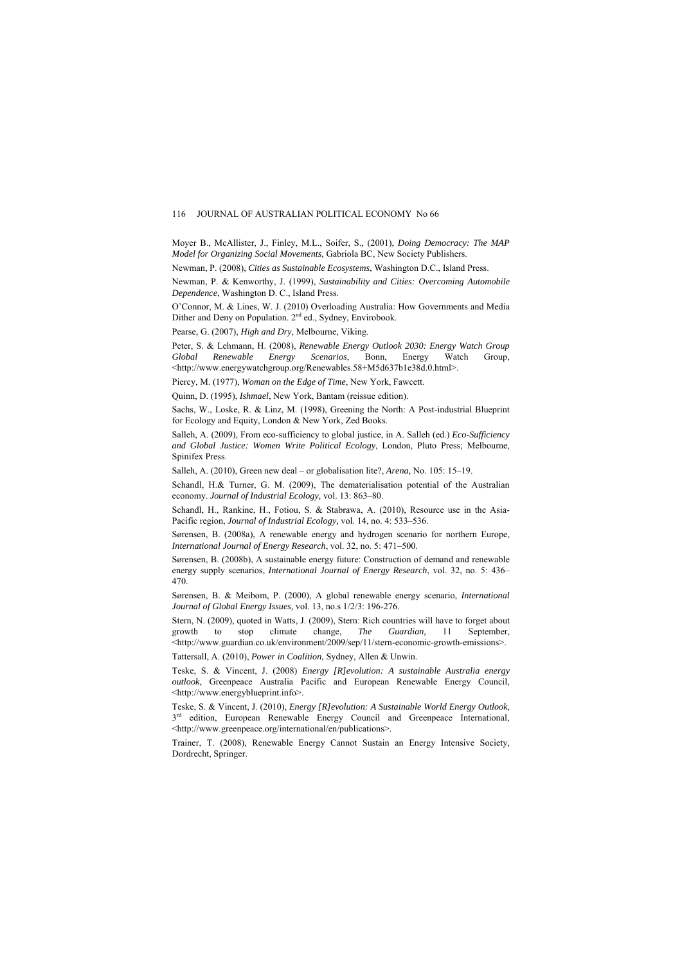Moyer B., McAllister, J., Finley, M.L., Soifer, S., (2001), *Doing Democracy: The MAP Model for Organizing Social Movements,* Gabriola BC, New Society Publishers.

Newman, P. (2008), *Cities as Sustainable Ecosystems*, Washington D.C., Island Press.

Newman, P. & Kenworthy, J. (1999), *Sustainability and Cities: Overcoming Automobile Dependence*, Washington D. C., Island Press.

O'Connor, M. & Lines, W. J. (2010) Overloading Australia: How Governments and Media Dither and Deny on Population. 2<sup>nd</sup> ed., Sydney, Envirobook.

Pearse, G. (2007), *High and Dry*, Melbourne, Viking.

Peter, S. & Lehmann, H. (2008), *Renewable Energy Outlook 2030: Energy Watch Group Global Renewable Energy Scenarios*, Bonn, Energy Watch Group, <http://www.energywatchgroup.org/Renewables.58+M5d637b1e38d.0.html>.

Piercy, M. (1977), *Woman on the Edge of Time*, New York, Fawcett.

Quinn, D. (1995), *Ishmael*, New York, Bantam (reissue edition).

Sachs, W., Loske, R. & Linz, M. (1998), Greening the North: A Post-industrial Blueprint for Ecology and Equity, London & New York, Zed Books.

Salleh, A. (2009), From eco-sufficiency to global justice, in A. Salleh (ed.) *Eco-Sufficiency and Global Justice: Women Write Political Ecology*, London, Pluto Press; Melbourne, Spinifex Press.

Salleh, A. (2010), Green new deal – or globalisation lite?, *Arena,* No. 105: 15–19.

Schandl, H.& Turner, G. M. (2009), The dematerialisation potential of the Australian economy. *Journal of Industrial Ecology,* vol. 13: 863–80.

Schandl, H., Rankine, H., Fotiou, S. & Stabrawa, A. (2010), Resource use in the Asia-Pacific region, *Journal of Industrial Ecology,* vol. 14, no. 4: 533–536.

Sørensen, B. (2008a), A renewable energy and hydrogen scenario for northern Europe *International Journal of Energy Research*, vol. 32, no. 5: 471–500.

Sørensen, B. (2008b), A sustainable energy future: Construction of demand and renewable energy supply scenarios, *International Journal of Energy Research*, vol. 32, no. 5: 436– 470.

Sørensen, B. & Meibom, P. (2000), A global renewable energy scenario, *International Journal of Global Energy Issues,* vol. 13, no.s 1/2/3: 196-276.

Stern, N. (2009), quoted in Watts, J. (2009), Stern: Rich countries will have to forget about growth to stop climate change, *The Guardian,* 11 September, <http://www.guardian.co.uk/environment/2009/sep/11/stern-economic-growth-emissions>.

Tattersall, A. (2010), *Power in Coalition*, Sydney, Allen & Unwin.

Teske, S. & Vincent, J. (2008) *Energy [R]evolution: A sustainable Australia energy outlook*, Greenpeace Australia Pacific and European Renewable Energy Council, <http://www.energyblueprint.info>.

Teske, S. & Vincent, J. (2010), *Energy [R]evolution: A Sustainable World Energy Outlook*,  $3<sup>rd</sup>$  edition, European Renewable Energy Council and Greenpeace International, <http://www.greenpeace.org/international/en/publications>.

Trainer, T. (2008), Renewable Energy Cannot Sustain an Energy Intensive Society, Dordrecht, Springer.